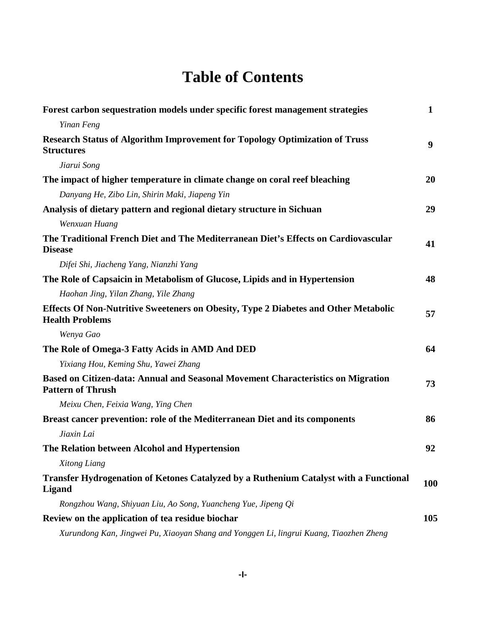## **Table of Contents**

| Forest carbon sequestration models under specific forest management strategies                                       | $\mathbf{1}$ |
|----------------------------------------------------------------------------------------------------------------------|--------------|
| Yinan Feng                                                                                                           |              |
| <b>Research Status of Algorithm Improvement for Topology Optimization of Truss</b><br><b>Structures</b>              | 9            |
| Jiarui Song                                                                                                          |              |
| The impact of higher temperature in climate change on coral reef bleaching                                           | 20           |
| Danyang He, Zibo Lin, Shirin Maki, Jiapeng Yin                                                                       |              |
| Analysis of dietary pattern and regional dietary structure in Sichuan                                                | 29           |
| Wenxuan Huang                                                                                                        |              |
| The Traditional French Diet and The Mediterranean Diet's Effects on Cardiovascular<br><b>Disease</b>                 | 41           |
| Difei Shi, Jiacheng Yang, Nianzhi Yang                                                                               |              |
| The Role of Capsaicin in Metabolism of Glucose, Lipids and in Hypertension                                           | 48           |
| Haohan Jing, Yilan Zhang, Yile Zhang                                                                                 |              |
| <b>Effects Of Non-Nutritive Sweeteners on Obesity, Type 2 Diabetes and Other Metabolic</b><br><b>Health Problems</b> | 57           |
| Wenya Gao                                                                                                            |              |
| The Role of Omega-3 Fatty Acids in AMD And DED                                                                       | 64           |
| Yixiang Hou, Keming Shu, Yawei Zhang                                                                                 |              |
| Based on Citizen-data: Annual and Seasonal Movement Characteristics on Migration<br><b>Pattern of Thrush</b>         | 73           |
| Meixu Chen, Feixia Wang, Ying Chen                                                                                   |              |
| Breast cancer prevention: role of the Mediterranean Diet and its components                                          | 86           |
| Jiaxin Lai                                                                                                           |              |
| The Relation between Alcohol and Hypertension                                                                        | 92           |
| Xitong Liang                                                                                                         |              |
| Transfer Hydrogenation of Ketones Catalyzed by a Ruthenium Catalyst with a Functional<br><b>Ligand</b>               | 100          |
| Rongzhou Wang, Shiyuan Liu, Ao Song, Yuancheng Yue, Jipeng Qi                                                        |              |
| Review on the application of tea residue biochar                                                                     | 105          |
| Xurundong Kan, Jingwei Pu, Xiaoyan Shang and Yonggen Li, lingrui Kuang, Tiaozhen Zheng                               |              |